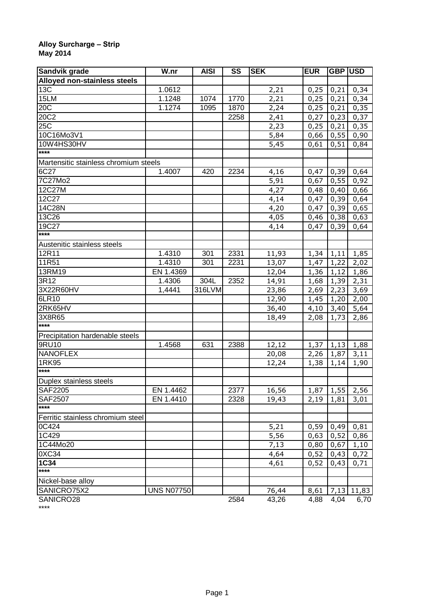## **Alloy Surcharge – Strip May 2014**

| Sandvik grade                         | W.nr              | <b>AISI</b> | SS   | <b>SEK</b>        | <b>EUR</b> | GBP USD |              |
|---------------------------------------|-------------------|-------------|------|-------------------|------------|---------|--------------|
| Alloyed non-stainless steels          |                   |             |      |                   |            |         |              |
| 13C                                   | 1.0612            |             |      | 2,21              | 0,25       | 0,21    | 0,34         |
| 15LM                                  | 1.1248            | 1074        | 1770 | 2,21              | 0,25       | 0,21    | 0,34         |
| 20C                                   | 1.1274            | 1095        | 1870 | 2,24              | 0,25       | 0,21    | 0,35         |
| 20C2                                  |                   |             | 2258 | 2,41              | 0,27       | 0,23    | 0,37         |
| 25 <sup>2</sup>                       |                   |             |      | 2,23              | 0,25       | 0,21    | 0,35         |
| 10C16Mo3V1                            |                   |             |      | $\overline{5,84}$ | 0,66       | 0,55    | 0,90         |
| 10W4HS30HV                            |                   |             |      | 5,45              | 0,61       | 0,51    | 0,84         |
| ****                                  |                   |             |      |                   |            |         |              |
| Martensitic stainless chromium steels |                   |             |      |                   |            |         |              |
| 6C27                                  | 1.4007            | 420         | 2234 | 4,16              | 0,47       | 0,39    | 0,64         |
| 7C27Mo2                               |                   |             |      | 5,91              | 0,67       | 0,55    | 0,92         |
| 12C27M                                |                   |             |      | 4,27              | 0,48       | 0,40    | 0,66         |
| 12C27                                 |                   |             |      | 4,14              | 0,47       | 0,39    | 0,64         |
| 14C28N                                |                   |             |      | 4,20              | 0,47       | 0,39    | 0,65         |
| 13C26                                 |                   |             |      | 4,05              | 0,46       | 0,38    | 0,63         |
| 19C27                                 |                   |             |      | 4,14              | 0,47       | 0,39    | 0,64         |
| ****                                  |                   |             |      |                   |            |         |              |
| Austenitic stainless steels           |                   |             |      |                   |            |         |              |
| 12R11                                 | 1.4310            | 301         | 2331 | 11,93             | 1,34       | 1,11    | 1,85         |
| 11R51                                 | 1.4310            | 301         | 2231 | 13,07             | 1,47       | 1,22    | 2,02         |
| 13RM19                                | EN 1.4369         |             |      | 12,04             | 1,36       | 1,12    |              |
| 3R12                                  | 1.4306            | 304L        | 2352 | 14,91             | 1,68       | 1,39    | 1,86<br>2,31 |
| 3X22R60HV                             | 1,4441            | 316LVM      |      | 23,86             | 2,69       | 2,23    | 3,69         |
| 6LR10                                 |                   |             |      |                   |            |         |              |
|                                       |                   |             |      | 12,90             | 1,45       | 1,20    | 2,00         |
| 2RK65HV                               |                   |             |      | 36,40             | 4,10       | 3,40    | 5,64         |
| 3X8R65<br>****                        |                   |             |      | 18,49             | 2,08       | 1,73    | 2,86         |
|                                       |                   |             |      |                   |            |         |              |
| Precipitation hardenable steels       |                   |             |      |                   |            |         |              |
| 9RU10                                 | 1.4568            | 631         | 2388 | 12,12             | 1,37       | 1,13    | 1,88         |
| <b>NANOFLEX</b>                       |                   |             |      | 20,08             | 2,26       | 1,87    | 3,11         |
| 1RK95                                 |                   |             |      | 12,24             | 1,38       | 1,14    | 1,90         |
| $***$                                 |                   |             |      |                   |            |         |              |
| Duplex stainless steels               |                   |             |      |                   |            |         |              |
| <b>SAF2205</b>                        | EN 1.4462         |             | 2377 | 16,56             | 1,87       | 1,55    | 2,56         |
| <b>SAF2507</b>                        | EN 1.4410         |             | 2328 | 19,43             | 2,19       | 1,81    | 3,01         |
| ****                                  |                   |             |      |                   |            |         |              |
| Ferritic stainless chromium steel     |                   |             |      |                   |            |         |              |
| 0C424                                 |                   |             |      | 5,21              | 0,59       | 0,49    | 0,81         |
| 1C429                                 |                   |             |      | 5,56              | 0,63       | 0,52    | 0,86         |
| 1C44Mo20                              |                   |             |      | 7,13              | 0,80       | 0,67    | 1,10         |
| 0XC34                                 |                   |             |      | 4,64              | 0,52       | 0,43    | 0,72         |
| $1C\overline{34}$                     |                   |             |      | 4,61              | 0,52       | 0,43    | 0,71         |
| $***$                                 |                   |             |      |                   |            |         |              |
| Nickel-base alloy                     |                   |             |      |                   |            |         |              |
| SANICRO75X2                           | <b>UNS N07750</b> |             |      | 76,44             | 8,61       | 7,13    | 11,83        |
| SANICRO28                             |                   |             | 2584 | 43,26             | 4,88       | 4,04    | 6,70         |

SANICRO28